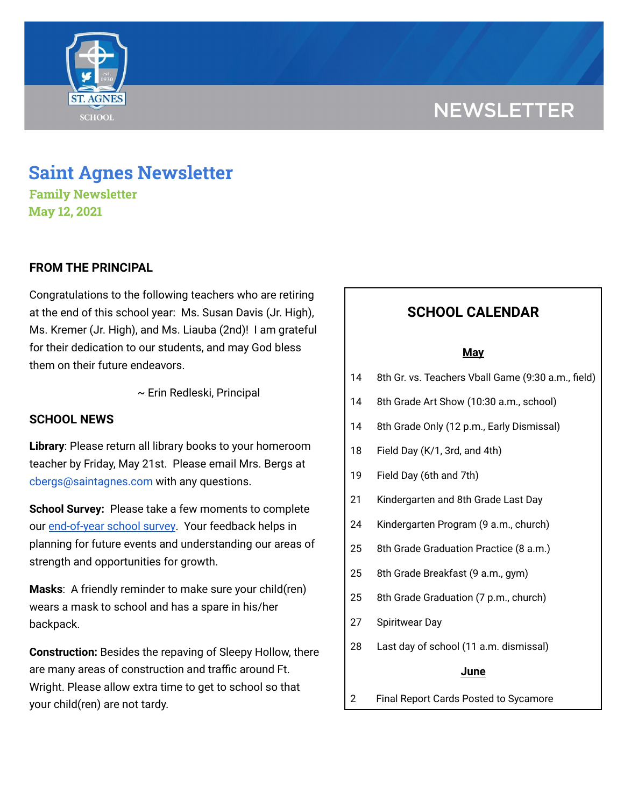# **NEWSLETTER**



# **Saint Agnes Newsletter**

**Family Newsletter May 12, 2021**

# **FROM THE PRINCIPAL**

Congratulations to the following teachers who are retiring at the end of this school year: Ms. Susan Davis (Jr. High), Ms. Kremer (Jr. High), and Ms. Liauba (2nd)! I am grateful for their dedication to our students, and may God bless them on their future endeavors.

~ Erin Redleski, Principal

## **SCHOOL NEWS**

**Library**: Please return all library books to your homeroom teacher by Friday, May 21st. Please email Mrs. Bergs at cbergs@saintagnes.com with any questions.

**School Survey:** Please take a few moments to complete our [end-of-year](https://www.surveymonkey.com/r/StAParentSurvey0520) school survey. Your feedback helps in planning for future events and understanding our areas of strength and opportunities for growth.

**Masks**: A friendly reminder to make sure your child(ren) wears a mask to school and has a spare in his/her backpack.

**Construction:** Besides the repaving of Sleepy Hollow, there are many areas of construction and traffic around Ft. Wright. Please allow extra time to get to school so that your child(ren) are not tardy.

# **SCHOOL CALENDAR**

#### **May**

- 14 8th Gr. vs. Teachers Vball Game (9:30 a.m., field)
- 14 8th Grade Art Show (10:30 a.m., school)
- 14 8th Grade Only (12 p.m., Early Dismissal)
- 18 Field Day (K/1, 3rd, and 4th)
- 19 Field Day (6th and 7th)
- 21 Kindergarten and 8th Grade Last Day
- 24 Kindergarten Program (9 a.m., church)
- 25 8th Grade Graduation Practice (8 a.m.)
- 25 8th Grade Breakfast (9 a.m., gym)
- 25 8th Grade Graduation (7 p.m., church)
- 27 Spiritwear Day
- 28 Last day of school (11 a.m. dismissal)

### **June**

2 Final Report Cards Posted to Sycamore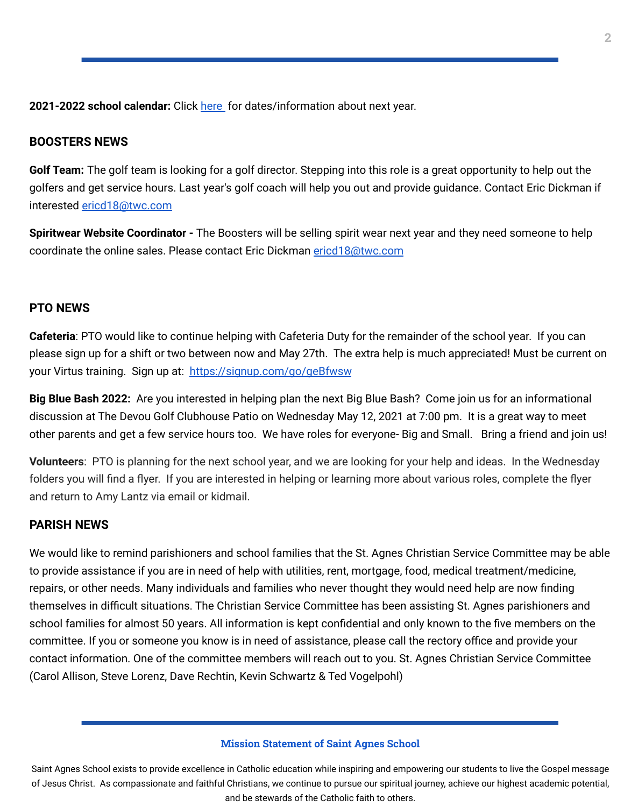**2021-2022 school calendar:** Click [here](https://school.saintagnes.com/wp-content/uploads/2021/02/2021-2022-School-Calendar-Parents.pdf) for dates/information about next year.

### **BOOSTERS NEWS**

**Golf Team:** The golf team is looking for a golf director. Stepping into this role is a great opportunity to help out the golfers and get service hours. Last year's golf coach will help you out and provide guidance. Contact Eric Dickman if interested [ericd18@twc.com](mailto:ericd18@twc.com)

**Spiritwear Website Coordinator -** The Boosters will be selling spirit wear next year and they need someone to help coordinate the online sales. Please contact Eric Dickman [ericd18@twc.com](mailto:ericd18@twc.com)

#### **PTO NEWS**

**Cafeteria**: PTO would like to continue helping with Cafeteria Duty for the remainder of the school year. If you can please sign up for a shift or two between now and May 27th. The extra help is much appreciated! Must be current on your Virtus training. Sign up at: <https://signup.com/go/geBfwsw>

**Big Blue Bash 2022:** Are you interested in helping plan the next Big Blue Bash? Come join us for an informational discussion at The Devou Golf Clubhouse Patio on Wednesday May 12, 2021 at 7:00 pm. It is a great way to meet other parents and get a few service hours too. We have roles for everyone- Big and Small. Bring a friend and join us!

**Volunteers**: PTO is planning for the next school year, and we are looking for your help and ideas. In the Wednesday folders you will find a flyer. If you are interested in helping or learning more about various roles, complete the flyer and return to Amy Lantz via email or kidmail.

#### **PARISH NEWS**

We would like to remind parishioners and school families that the St. Agnes Christian Service Committee may be able to provide assistance if you are in need of help with utilities, rent, mortgage, food, medical treatment/medicine, repairs, or other needs. Many individuals and families who never thought they would need help are now finding themselves in difficult situations. The Christian Service Committee has been assisting St. Agnes parishioners and school families for almost 50 years. All information is kept confidential and only known to the five members on the committee. If you or someone you know is in need of assistance, please call the rectory office and provide your contact information. One of the committee members will reach out to you. St. Agnes Christian Service Committee (Carol Allison, Steve Lorenz, Dave Rechtin, Kevin Schwartz & Ted Vogelpohl)

#### **Mission Statement of Saint Agnes School**

Saint Agnes School exists to provide excellence in Catholic education while inspiring and empowering our students to live the Gospel message of Jesus Christ. As compassionate and faithful Christians, we continue to pursue our spiritual journey, achieve our highest academic potential, and be stewards of the Catholic faith to others.